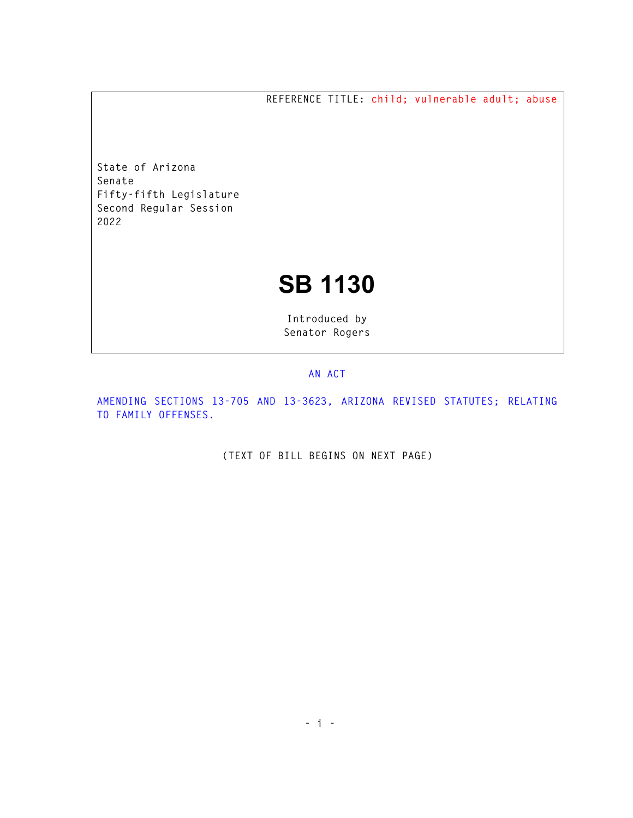**REFERENCE TITLE: child; vulnerable adult; abuse** 

**State of Arizona Senate Fifty-fifth Legislature Second Regular Session 2022** 

## **SB 1130**

**Introduced by Senator Rogers** 

## **AN ACT**

**AMENDING SECTIONS 13-705 AND 13-3623, ARIZONA REVISED STATUTES; RELATING TO FAMILY OFFENSES.** 

**(TEXT OF BILL BEGINS ON NEXT PAGE)**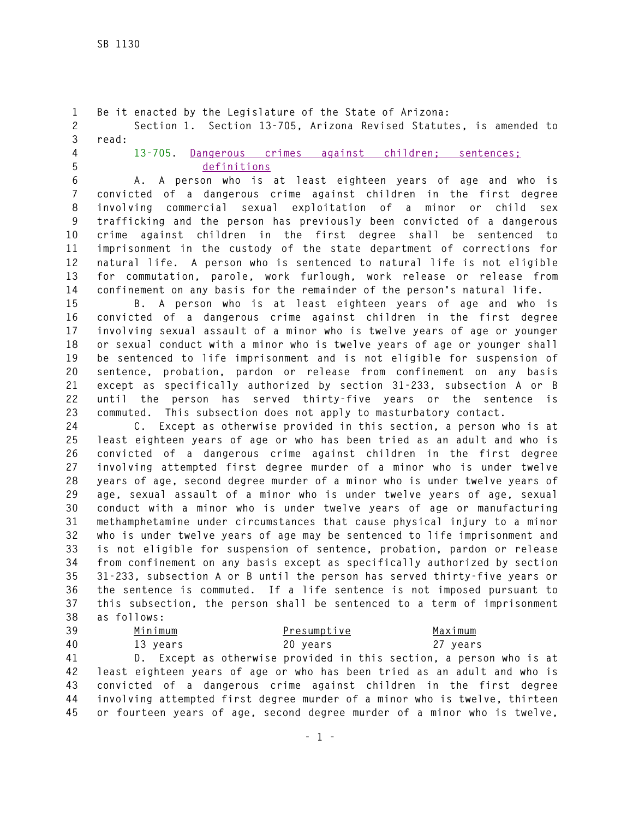**1 Be it enacted by the Legislature of the State of Arizona: 2 Section 1. Section 13-705, Arizona Revised Statutes, is amended to 3 read: 4 13-705. Dangerous crimes against children; sentences; 5 definitions 6 A. A person who is at least eighteen years of age and who is 7 convicted of a dangerous crime against children in the first degree 8 involving commercial sexual exploitation of a minor or child sex 9 trafficking and the person has previously been convicted of a dangerous 10 crime against children in the first degree shall be sentenced to 11 imprisonment in the custody of the state department of corrections for 12 natural life. A person who is sentenced to natural life is not eligible 13 for commutation, parole, work furlough, work release or release from 14 confinement on any basis for the remainder of the person's natural life. 15 B. A person who is at least eighteen years of age and who is 16 convicted of a dangerous crime against children in the first degree 17 involving sexual assault of a minor who is twelve years of age or younger 18 or sexual conduct with a minor who is twelve years of age or younger shall 19 be sentenced to life imprisonment and is not eligible for suspension of 20 sentence, probation, pardon or release from confinement on any basis 21 except as specifically authorized by section 31-233, subsection A or B 22 until the person has served thirty-five years or the sentence is 23 commuted. This subsection does not apply to masturbatory contact. 24 C. Except as otherwise provided in this section, a person who is at 25 least eighteen years of age or who has been tried as an adult and who is 26 convicted of a dangerous crime against children in the first degree 27 involving attempted first degree murder of a minor who is under twelve 28 years of age, second degree murder of a minor who is under twelve years of 29 age, sexual assault of a minor who is under twelve years of age, sexual 30 conduct with a minor who is under twelve years of age or manufacturing 31 methamphetamine under circumstances that cause physical injury to a minor 32 who is under twelve years of age may be sentenced to life imprisonment and 33 is not eligible for suspension of sentence, probation, pardon or release 34 from confinement on any basis except as specifically authorized by section 35 31-233, subsection A or B until the person has served thirty-five years or 36 the sentence is commuted. If a life sentence is not imposed pursuant to 37 this subsection, the person shall be sentenced to a term of imprisonment 38 as follows: 39 Minimum Presumptive Maximum 40 13 years 20 years 27 years 41 D. Except as otherwise provided in this section, a person who is at** 

**42 least eighteen years of age or who has been tried as an adult and who is 43 convicted of a dangerous crime against children in the first degree 44 involving attempted first degree murder of a minor who is twelve, thirteen 45 or fourteen years of age, second degree murder of a minor who is twelve,**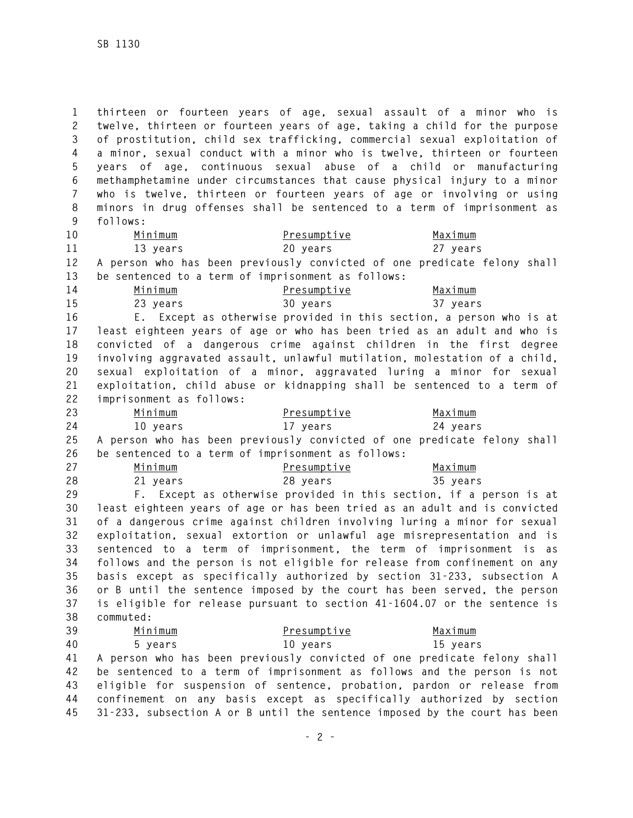**1 thirteen or fourteen years of age, sexual assault of a minor who is 2 twelve, thirteen or fourteen years of age, taking a child for the purpose 3 of prostitution, child sex trafficking, commercial sexual exploitation of 4 a minor, sexual conduct with a minor who is twelve, thirteen or fourteen 5 years of age, continuous sexual abuse of a child or manufacturing 6 methamphetamine under circumstances that cause physical injury to a minor 7 who is twelve, thirteen or fourteen years of age or involving or using 8 minors in drug offenses shall be sentenced to a term of imprisonment as 9 follows:** 

**10 Minimum Presumptive Maximum 11 13 years 20 years 27 years** 

**12 A person who has been previously convicted of one predicate felony shall 13 be sentenced to a term of imprisonment as follows:** 

| 14 | Minimum  | Presumptive | Maximum  |
|----|----------|-------------|----------|
| 15 | 23 years | 30 vears    | 37 years |

**16 E. Except as otherwise provided in this section, a person who is at 17 least eighteen years of age or who has been tried as an adult and who is 18 convicted of a dangerous crime against children in the first degree 19 involving aggravated assault, unlawful mutilation, molestation of a child, 20 sexual exploitation of a minor, aggravated luring a minor for sexual 21 exploitation, child abuse or kidnapping shall be sentenced to a term of 22 imprisonment as follows:** 

| 23 | Minimum  | Presumptive                                                                 | Maximum  |
|----|----------|-----------------------------------------------------------------------------|----------|
| 24 | 10 vears | 17 vears                                                                    | 24 vears |
|    |          | 25 A person who has been previously convicted of one predicate felony shall |          |
| 26 |          | be sentenced to a term of imprisonment as follows:                          |          |

| 27 | Minimum  | Presumptive | Maximum  |
|----|----------|-------------|----------|
| 28 | 21 years | 28 vears    | 35 years |

**29 F. Except as otherwise provided in this section, if a person is at 30 least eighteen years of age or has been tried as an adult and is convicted 31 of a dangerous crime against children involving luring a minor for sexual 32 exploitation, sexual extortion or unlawful age misrepresentation and is 33 sentenced to a term of imprisonment, the term of imprisonment is as 34 follows and the person is not eligible for release from confinement on any 35 basis except as specifically authorized by section 31-233, subsection A 36 or B until the sentence imposed by the court has been served, the person 37 is eligible for release pursuant to section 41-1604.07 or the sentence is 38 commuted:** 

| 39 | Minimum | Presumptive | Maximum                                                                       |
|----|---------|-------------|-------------------------------------------------------------------------------|
| 40 | 5 years | 10 vears    | 15 years                                                                      |
| 41 |         |             | A person who has been previously convicted of one predicate felony shall      |
| 42 |         |             | be sentenced to a term of imprisonment as follows and the person is not       |
| 43 |         |             | eligible for suspension of sentence, probation, pardon or release from        |
| 44 |         |             | confinement on any basis except as specifically authorized by section         |
|    |         |             | 45 31-233, subsection A or B until the sentence imposed by the court has been |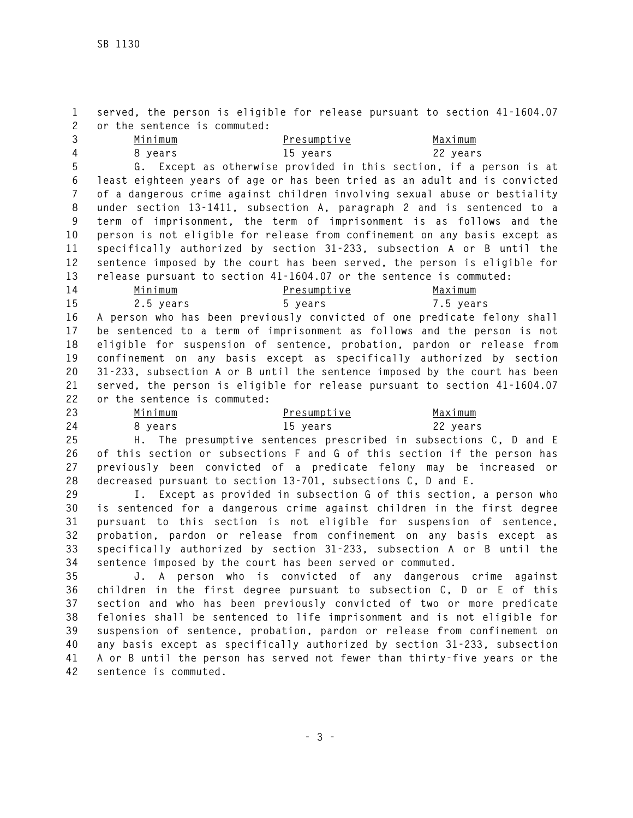**1 served, the person is eligible for release pursuant to section 41-1604.07 2 or the sentence is commuted: 3 Minimum Presumptive Maximum 4 8 years 15 years 22 years 5 G. Except as otherwise provided in this section, if a person is at 6 least eighteen years of age or has been tried as an adult and is convicted 7 of a dangerous crime against children involving sexual abuse or bestiality 8 under section 13-1411, subsection A, paragraph 2 and is sentenced to a 9 term of imprisonment, the term of imprisonment is as follows and the 10 person is not eligible for release from confinement on any basis except as 11 specifically authorized by section 31-233, subsection A or B until the 12 sentence imposed by the court has been served, the person is eligible for 13 release pursuant to section 41-1604.07 or the sentence is commuted: 14 Minimum Presumptive Maximum 15 2.5 years 5 years 7.5 years 16 A person who has been previously convicted of one predicate felony shall 17 be sentenced to a term of imprisonment as follows and the person is not 18 eligible for suspension of sentence, probation, pardon or release from 19 confinement on any basis except as specifically authorized by section 20 31-233, subsection A or B until the sentence imposed by the court has been 21 served, the person is eligible for release pursuant to section 41-1604.07 22 or the sentence is commuted: 23 Minimum Presumptive Maximum 24 8 years 15 years 22 years 25 H. The presumptive sentences prescribed in subsections C, D and E 26 of this section or subsections F and G of this section if the person has 27 previously been convicted of a predicate felony may be increased or 28 decreased pursuant to section 13-701, subsections C, D and E. 29 I. Except as provided in subsection G of this section, a person who 30 is sentenced for a dangerous crime against children in the first degree 31 pursuant to this section is not eligible for suspension of sentence, 32 probation, pardon or release from confinement on any basis except as 33 specifically authorized by section 31-233, subsection A or B until the 34 sentence imposed by the court has been served or commuted. 35 J. A person who is convicted of any dangerous crime against 36 children in the first degree pursuant to subsection C, D or E of this 37 section and who has been previously convicted of two or more predicate 38 felonies shall be sentenced to life imprisonment and is not eligible for 39 suspension of sentence, probation, pardon or release from confinement on 40 any basis except as specifically authorized by section 31-233, subsection 41 A or B until the person has served not fewer than thirty-five years or the 42 sentence is commuted.**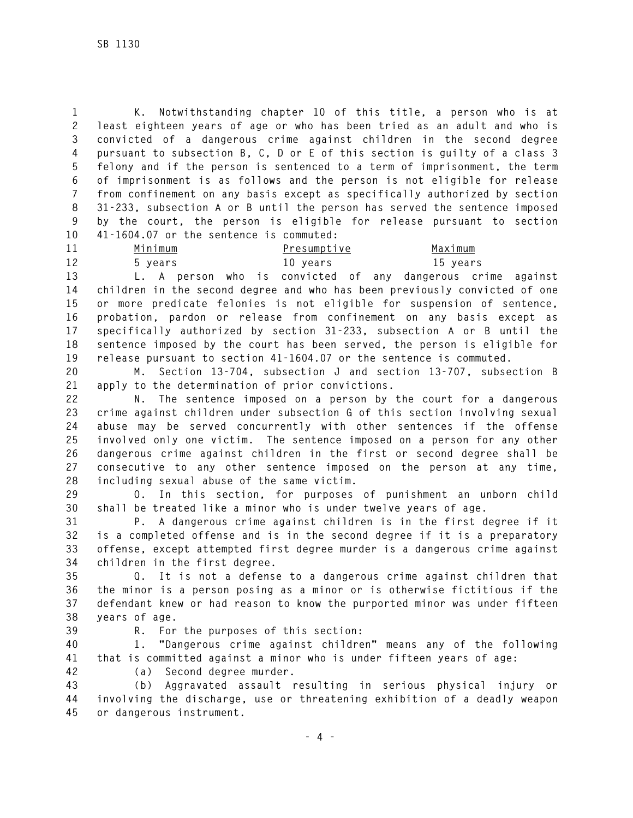**1 K. Notwithstanding chapter 10 of this title, a person who is at 2 least eighteen years of age or who has been tried as an adult and who is 3 convicted of a dangerous crime against children in the second degree 4 pursuant to subsection B, C, D or E of this section is guilty of a class 3 5 felony and if the person is sentenced to a term of imprisonment, the term 6 of imprisonment is as follows and the person is not eligible for release 7 from confinement on any basis except as specifically authorized by section 8 31-233, subsection A or B until the person has served the sentence imposed 9 by the court, the person is eligible for release pursuant to section 10 41-1604.07 or the sentence is commuted:** 

**11 Minimum Presumptive Maximum 12 5 years 10 years 15 years** 

**13 L. A person who is convicted of any dangerous crime against 14 children in the second degree and who has been previously convicted of one 15 or more predicate felonies is not eligible for suspension of sentence, 16 probation, pardon or release from confinement on any basis except as 17 specifically authorized by section 31-233, subsection A or B until the** 

**19 release pursuant to section 41-1604.07 or the sentence is commuted. 20 M. Section 13-704, subsection J and section 13-707, subsection B 21 apply to the determination of prior convictions.** 

**18 sentence imposed by the court has been served, the person is eligible for** 

**22 N. The sentence imposed on a person by the court for a dangerous 23 crime against children under subsection G of this section involving sexual 24 abuse may be served concurrently with other sentences if the offense 25 involved only one victim. The sentence imposed on a person for any other 26 dangerous crime against children in the first or second degree shall be 27 consecutive to any other sentence imposed on the person at any time, 28 including sexual abuse of the same victim.** 

**29 O. In this section, for purposes of punishment an unborn child 30 shall be treated like a minor who is under twelve years of age.** 

**31 P. A dangerous crime against children is in the first degree if it 32 is a completed offense and is in the second degree if it is a preparatory 33 offense, except attempted first degree murder is a dangerous crime against 34 children in the first degree.** 

**35 Q. It is not a defense to a dangerous crime against children that 36 the minor is a person posing as a minor or is otherwise fictitious if the 37 defendant knew or had reason to know the purported minor was under fifteen 38 years of age.** 

**39 R. For the purposes of this section:** 

**40 1. "Dangerous crime against children" means any of the following 41 that is committed against a minor who is under fifteen years of age:** 

**42 (a) Second degree murder.** 

**43 (b) Aggravated assault resulting in serious physical injury or 44 involving the discharge, use or threatening exhibition of a deadly weapon 45 or dangerous instrument.**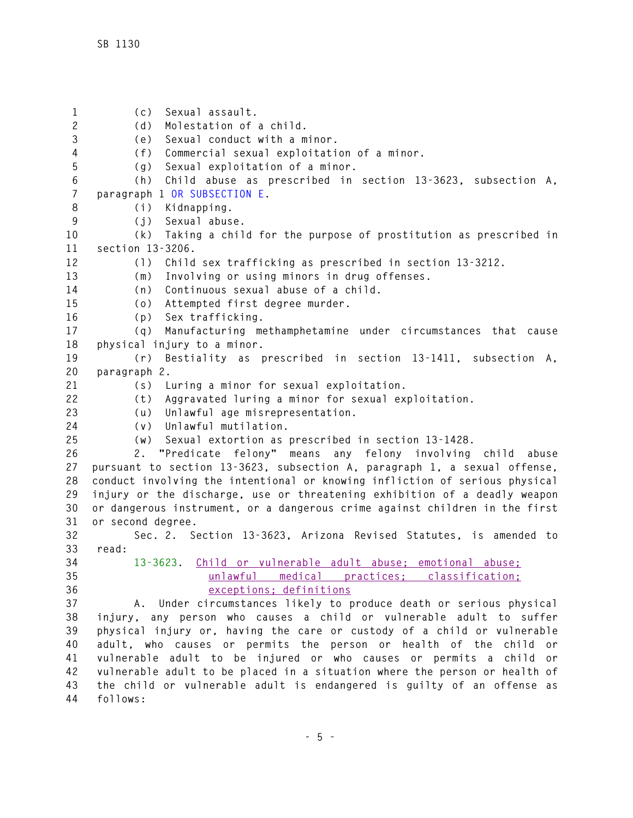**1 (c) Sexual assault. 2 (d) Molestation of a child. 3 (e) Sexual conduct with a minor. 4 (f) Commercial sexual exploitation of a minor. 5 (g) Sexual exploitation of a minor. 6 (h) Child abuse as prescribed in section 13-3623, subsection A, 7 paragraph 1 OR SUBSECTION E. 8 (i) Kidnapping. 9 (j) Sexual abuse. 10 (k) Taking a child for the purpose of prostitution as prescribed in 11 section 13-3206. 12 (l) Child sex trafficking as prescribed in section 13-3212. 13 (m) Involving or using minors in drug offenses. 14 (n) Continuous sexual abuse of a child. 15 (o) Attempted first degree murder. 16 (p) Sex trafficking. 17 (q) Manufacturing methamphetamine under circumstances that cause 18 physical injury to a minor. 19 (r) Bestiality as prescribed in section 13-1411, subsection A, 20 paragraph 2. 21 (s) Luring a minor for sexual exploitation. 22 (t) Aggravated luring a minor for sexual exploitation. 23 (u) Unlawful age misrepresentation. 24 (v) Unlawful mutilation. 25 (w) Sexual extortion as prescribed in section 13-1428. 26 2. "Predicate felony" means any felony involving child abuse 27 pursuant to section 13-3623, subsection A, paragraph 1, a sexual offense, 28 conduct involving the intentional or knowing infliction of serious physical 29 injury or the discharge, use or threatening exhibition of a deadly weapon 30 or dangerous instrument, or a dangerous crime against children in the first 31 or second degree. 32 Sec. 2. Section 13-3623, Arizona Revised Statutes, is amended to 33 read: 34 13-3623. Child or vulnerable adult abuse; emotional abuse; 35 unlawful medical practices; classification; 36 exceptions; definitions 37 A. Under circumstances likely to produce death or serious physical 38 injury, any person who causes a child or vulnerable adult to suffer 39 physical injury or, having the care or custody of a child or vulnerable 40 adult, who causes or permits the person or health of the child or 41 vulnerable adult to be injured or who causes or permits a child or 42 vulnerable adult to be placed in a situation where the person or health of 43 the child or vulnerable adult is endangered is guilty of an offense as 44 follows:**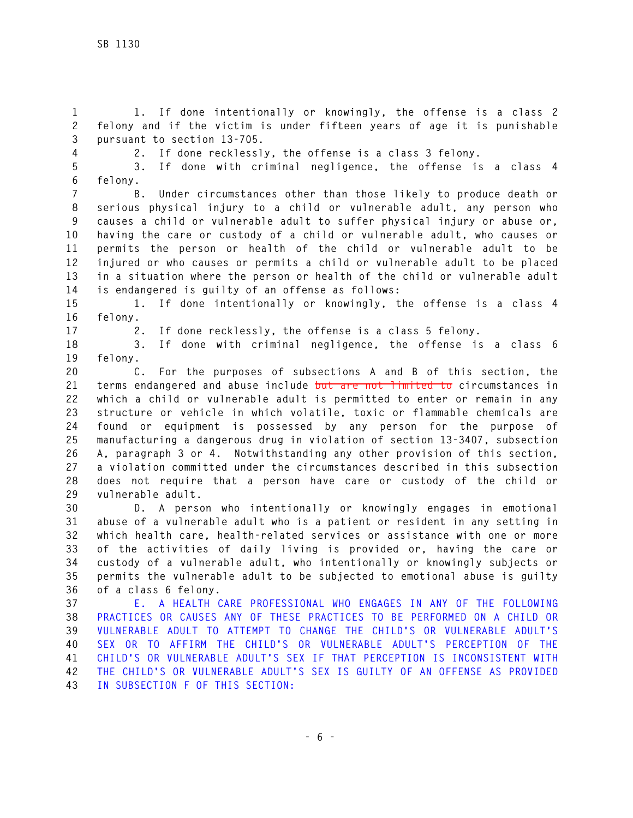**1 1. If done intentionally or knowingly, the offense is a class 2 2 felony and if the victim is under fifteen years of age it is punishable 3 pursuant to section 13-705.** 

**4 2. If done recklessly, the offense is a class 3 felony.** 

**5 3. If done with criminal negligence, the offense is a class 4 6 felony.** 

**7 B. Under circumstances other than those likely to produce death or 8 serious physical injury to a child or vulnerable adult, any person who 9 causes a child or vulnerable adult to suffer physical injury or abuse or, 10 having the care or custody of a child or vulnerable adult, who causes or 11 permits the person or health of the child or vulnerable adult to be 12 injured or who causes or permits a child or vulnerable adult to be placed 13 in a situation where the person or health of the child or vulnerable adult 14 is endangered is guilty of an offense as follows:** 

**15 1. If done intentionally or knowingly, the offense is a class 4 16 felony.** 

**17 2. If done recklessly, the offense is a class 5 felony.** 

**18 3. If done with criminal negligence, the offense is a class 6 19 felony.** 

**20 C. For the purposes of subsections A and B of this section, the 21 terms endangered and abuse include but are not limited to circumstances in 22 which a child or vulnerable adult is permitted to enter or remain in any 23 structure or vehicle in which volatile, toxic or flammable chemicals are 24 found or equipment is possessed by any person for the purpose of 25 manufacturing a dangerous drug in violation of section 13-3407, subsection 26 A, paragraph 3 or 4. Notwithstanding any other provision of this section, 27 a violation committed under the circumstances described in this subsection 28 does not require that a person have care or custody of the child or 29 vulnerable adult.** 

**30 D. A person who intentionally or knowingly engages in emotional 31 abuse of a vulnerable adult who is a patient or resident in any setting in 32 which health care, health-related services or assistance with one or more 33 of the activities of daily living is provided or, having the care or 34 custody of a vulnerable adult, who intentionally or knowingly subjects or 35 permits the vulnerable adult to be subjected to emotional abuse is guilty 36 of a class 6 felony.** 

**37 E. A HEALTH CARE PROFESSIONAL WHO ENGAGES IN ANY OF THE FOLLOWING 38 PRACTICES OR CAUSES ANY OF THESE PRACTICES TO BE PERFORMED ON A CHILD OR 39 VULNERABLE ADULT TO ATTEMPT TO CHANGE THE CHILD'S OR VULNERABLE ADULT'S 40 SEX OR TO AFFIRM THE CHILD'S OR VULNERABLE ADULT'S PERCEPTION OF THE 41 CHILD'S OR VULNERABLE ADULT'S SEX IF THAT PERCEPTION IS INCONSISTENT WITH 42 THE CHILD'S OR VULNERABLE ADULT'S SEX IS GUILTY OF AN OFFENSE AS PROVIDED 43 IN SUBSECTION F OF THIS SECTION:**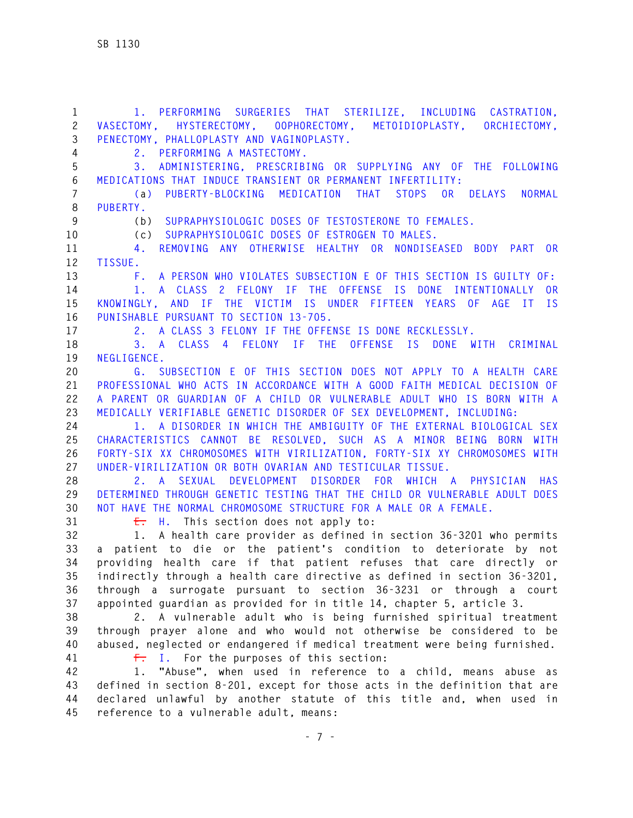**1 1. PERFORMING SURGERIES THAT STERILIZE, INCLUDING CASTRATION, 2 VASECTOMY, HYSTERECTOMY, OOPHORECTOMY, METOIDIOPLASTY, ORCHIECTOMY, 3 PENECTOMY, PHALLOPLASTY AND VAGINOPLASTY. 4 2. PERFORMING A MASTECTOMY. 5 3. ADMINISTERING, PRESCRIBING OR SUPPLYING ANY OF THE FOLLOWING 6 MEDICATIONS THAT INDUCE TRANSIENT OR PERMANENT INFERTILITY: 7 (a) PUBERTY-BLOCKING MEDICATION THAT STOPS OR DELAYS NORMAL 8 PUBERTY. 9 (b) SUPRAPHYSIOLOGIC DOSES OF TESTOSTERONE TO FEMALES. 10 (c) SUPRAPHYSIOLOGIC DOSES OF ESTROGEN TO MALES. 11 4. REMOVING ANY OTHERWISE HEALTHY OR NONDISEASED BODY PART OR 12 TISSUE. 13 F. A PERSON WHO VIOLATES SUBSECTION E OF THIS SECTION IS GUILTY OF: 14 1. A CLASS 2 FELONY IF THE OFFENSE IS DONE INTENTIONALLY OR 15 KNOWINGLY, AND IF THE VICTIM IS UNDER FIFTEEN YEARS OF AGE IT IS 16 PUNISHABLE PURSUANT TO SECTION 13-705. 17 2. A CLASS 3 FELONY IF THE OFFENSE IS DONE RECKLESSLY. 18 3. A CLASS 4 FELONY IF THE OFFENSE IS DONE WITH CRIMINAL 19 NEGLIGENCE. 20 G. SUBSECTION E OF THIS SECTION DOES NOT APPLY TO A HEALTH CARE 21 PROFESSIONAL WHO ACTS IN ACCORDANCE WITH A GOOD FAITH MEDICAL DECISION OF 22 A PARENT OR GUARDIAN OF A CHILD OR VULNERABLE ADULT WHO IS BORN WITH A 23 MEDICALLY VERIFIABLE GENETIC DISORDER OF SEX DEVELOPMENT, INCLUDING: 24 1. A DISORDER IN WHICH THE AMBIGUITY OF THE EXTERNAL BIOLOGICAL SEX 25 CHARACTERISTICS CANNOT BE RESOLVED, SUCH AS A MINOR BEING BORN WITH 26 FORTY-SIX XX CHROMOSOMES WITH VIRILIZATION, FORTY-SIX XY CHROMOSOMES WITH 27 UNDER-VIRILIZATION OR BOTH OVARIAN AND TESTICULAR TISSUE. 28 2. A SEXUAL DEVELOPMENT DISORDER FOR WHICH A PHYSICIAN HAS 29 DETERMINED THROUGH GENETIC TESTING THAT THE CHILD OR VULNERABLE ADULT DOES 30 NOT HAVE THE NORMAL CHROMOSOME STRUCTURE FOR A MALE OR A FEMALE. 31 E. H. This section does not apply to: 32 1. A health care provider as defined in section 36-3201 who permits 33 a patient to die or the patient's condition to deteriorate by not 34 providing health care if that patient refuses that care directly or 35 indirectly through a health care directive as defined in section 36-3201, 36 through a surrogate pursuant to section 36-3231 or through a court 37 appointed guardian as provided for in title 14, chapter 5, article 3. 38 2. A vulnerable adult who is being furnished spiritual treatment 39 through prayer alone and who would not otherwise be considered to be 40 abused, neglected or endangered if medical treatment were being furnished. 41 F. I. For the purposes of this section: 42 1. "Abuse", when used in reference to a child, means abuse as 43 defined in section 8-201, except for those acts in the definition that are 44 declared unlawful by another statute of this title and, when used in 45 reference to a vulnerable adult, means:**